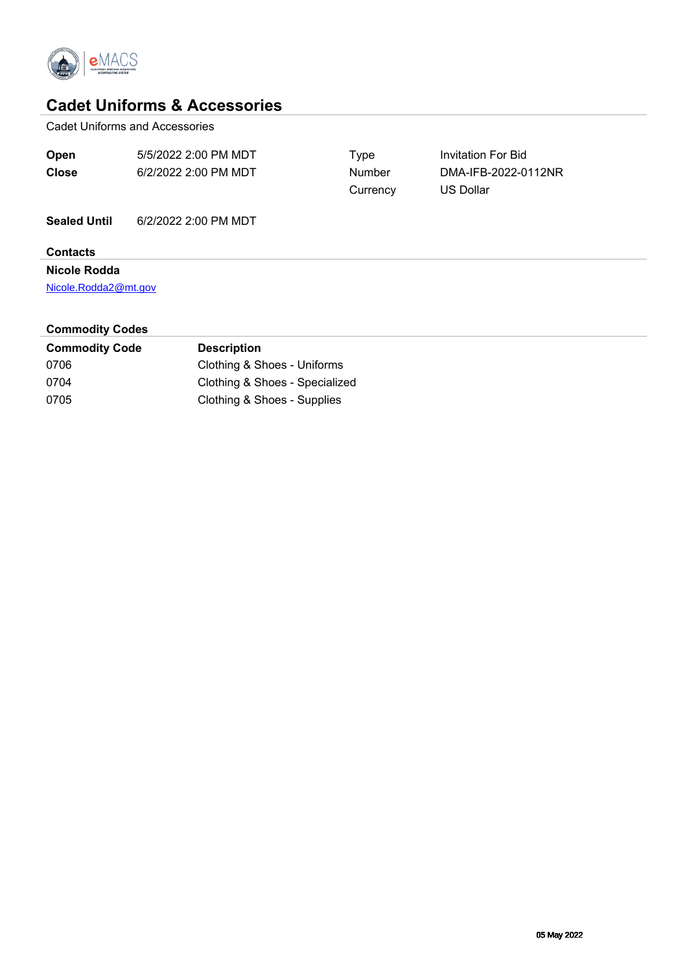

## **Cadet Uniforms & Accessories**

Cadet Uniforms and Accessories

| Open                   | 5/5/2022 2:00 PM MDT | Type     | <b>Invitation For Bid</b> |  |  |  |  |  |
|------------------------|----------------------|----------|---------------------------|--|--|--|--|--|
| <b>Close</b>           | 6/2/2022 2:00 PM MDT | Number   | DMA-IFB-2022-0112NR       |  |  |  |  |  |
|                        |                      | Currency | <b>US Dollar</b>          |  |  |  |  |  |
| <b>Sealed Until</b>    | 6/2/2022 2:00 PM MDT |          |                           |  |  |  |  |  |
| <b>Contacts</b>        |                      |          |                           |  |  |  |  |  |
| Nicole Rodda           |                      |          |                           |  |  |  |  |  |
| Nicole.Rodda2@mt.gov   |                      |          |                           |  |  |  |  |  |
| <b>Commodity Codes</b> |                      |          |                           |  |  |  |  |  |

| <b>Commodity Code</b> | <b>Description</b>             |
|-----------------------|--------------------------------|
| 0706                  | Clothing & Shoes - Uniforms    |
| 0704                  | Clothing & Shoes - Specialized |
| 0705                  | Clothing & Shoes - Supplies    |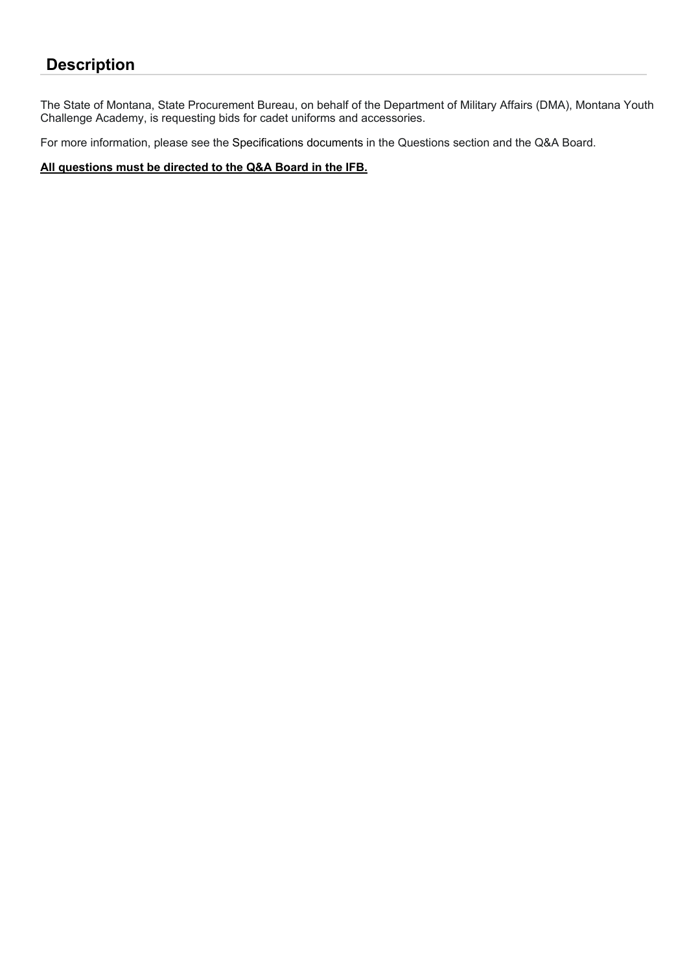# **Description**

The State of Montana, State Procurement Bureau, on behalf of the Department of Military Affairs (DMA), Montana Youth Challenge Academy, is requesting bids for cadet uniforms and accessories.

For more information, please see the Specifications documents in the Questions section and the Q&A Board.

**All questions must be directed to the Q&A Board in the IFB.**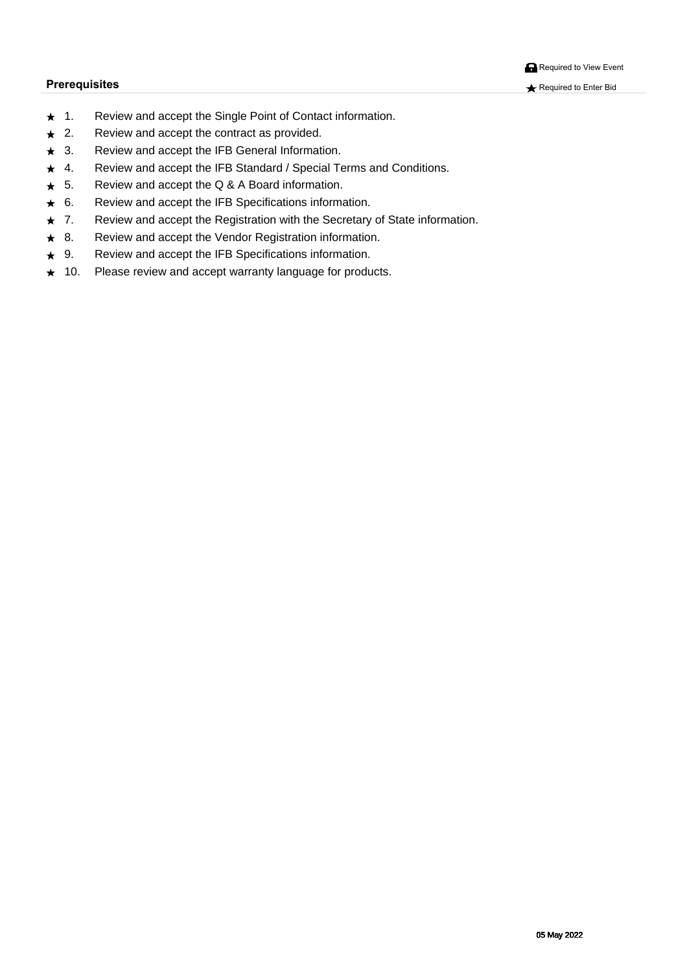#### **Prerequisites** Required to Enter Bid

**Required to View Event** 

- ★ FÈ Ü^çã\ Ábe) å Ábe&&^] of ozQA Ûā, \* |^ ÁÚ[ā, of ÁÔ[} caa&of §i-{¦{ anaã}È
- ★ GÈ Ü^çã^ Ána) åÁnak&A^] oÁn@ ÁkJ}dæ&dóæne Áj¦çãn∆^åÈ
- ★ HÈ Ü^çã\ Áng å Ának&&^] oÁn@ Á02YÓÁÖ^}^¦an|Á00,-[¦{anaã}È
- ★ IÈ Ü^çã\ Ána) åÁnaks&^] oÁn@ Án@OÓÁJœa}åælåÁnáĴJY^&ãnapÁ/^¦{ Ána}åÁÔ[}åãnã[} •È
- ★ ÍÈ Ü^çã^, Áæ)åÁæ&&^]cÁc@AÛÆA A BÁQ#Áq +{{æqã}È
- ★ ÎÈ Ü^çã\ Ána) å Ának8&^] oÁn@ Á020ÓÁÙ ]^ &ãã&æã[} Á§ -{¦{æã[}È
- ★ ÏÈ Ü^çã\ Áeo}åÁen&&^]oÁo@AÜ^\*ãdænã}Á,ão@Áo@AÛ^&¦^œaf^Á,—AÙœae^Á§-{¦{ænā}È
- ★ IÈ Ü^çã\ Ábe)åÁbol&&^]cÁc@vÁx^}å[¦ÁÜ^\*ãdænã[}Á§i-{¦{ænã}È
- ★ JÈ Ü^çã\ Ána)åÁnak&A^]oÁo@AQQÓÁÙ]^&ãã&æaã{}•Á§4¦{æaã{}È
- ★ F€È Ú∣^æ∙^Á^çã\ Á&a}åÁæ&&^]oÁ ællæ}c´Áæ}\*`æ\*^Á{lÁlla`&o∙È

Á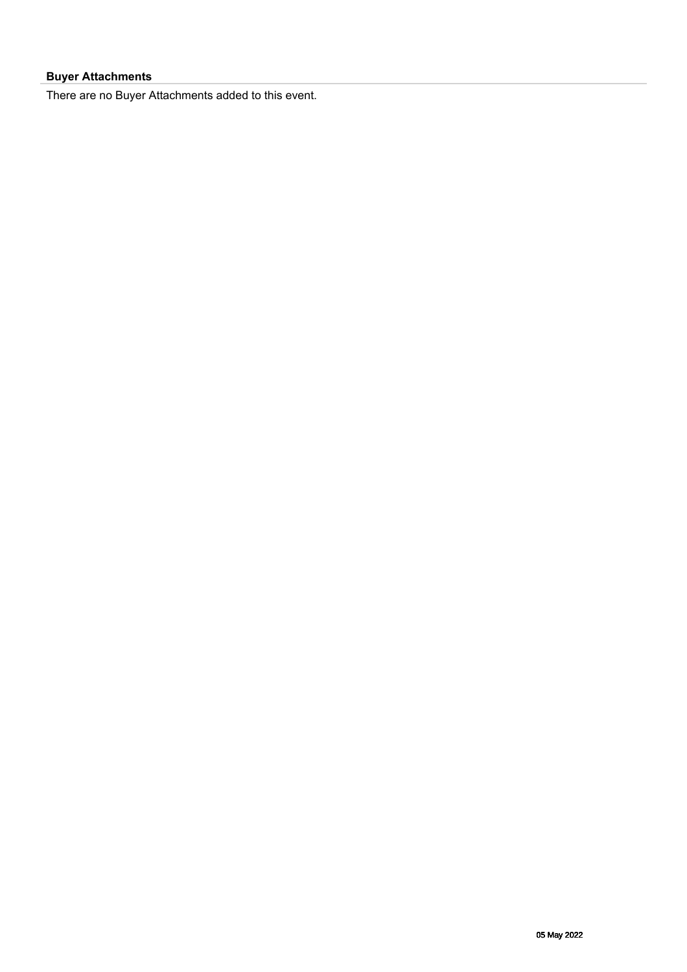### **Buyer Attachments**

There are no Buyer Attachments added to this event.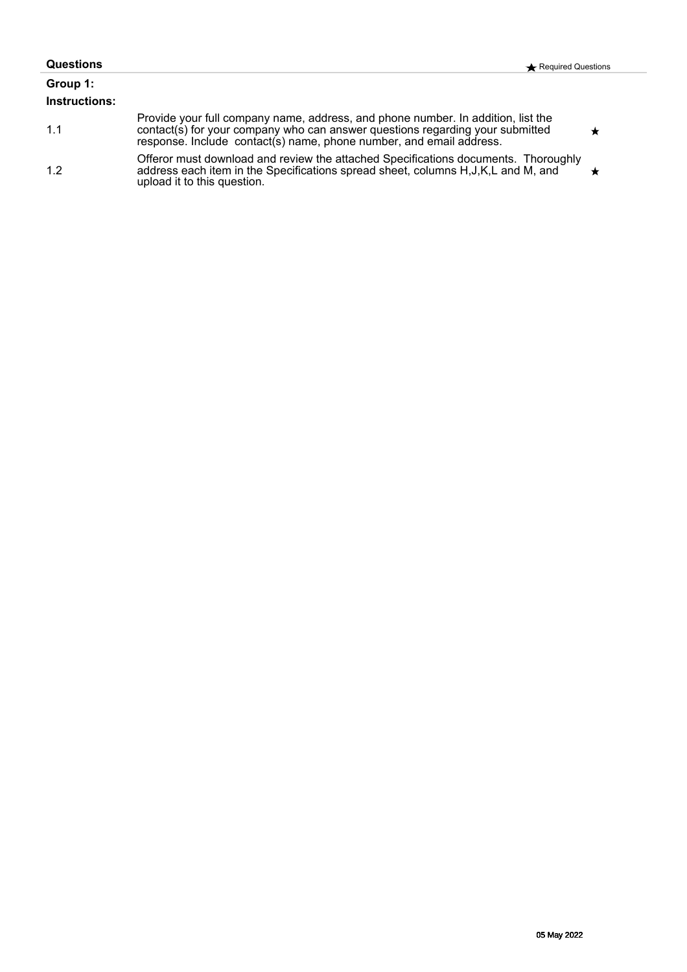| Questions                 | Required Questions                                                                                                                                                                                                                       |  |
|---------------------------|------------------------------------------------------------------------------------------------------------------------------------------------------------------------------------------------------------------------------------------|--|
| Group 1:<br>Instructions: |                                                                                                                                                                                                                                          |  |
| 1.1                       | Provide your full company name, address, and phone number. In addition, list the<br>contact(s) for your company who can answer questions regarding your submitted<br>response. Include contact(s) name, phone number, and email address. |  |
| 1.2                       | Offeror must download and review the attached Specifications documents. Thoroughly<br>address each item in the Specifications spread sheet, columns H, J, K, L and M, and<br>upload it to this question.                                 |  |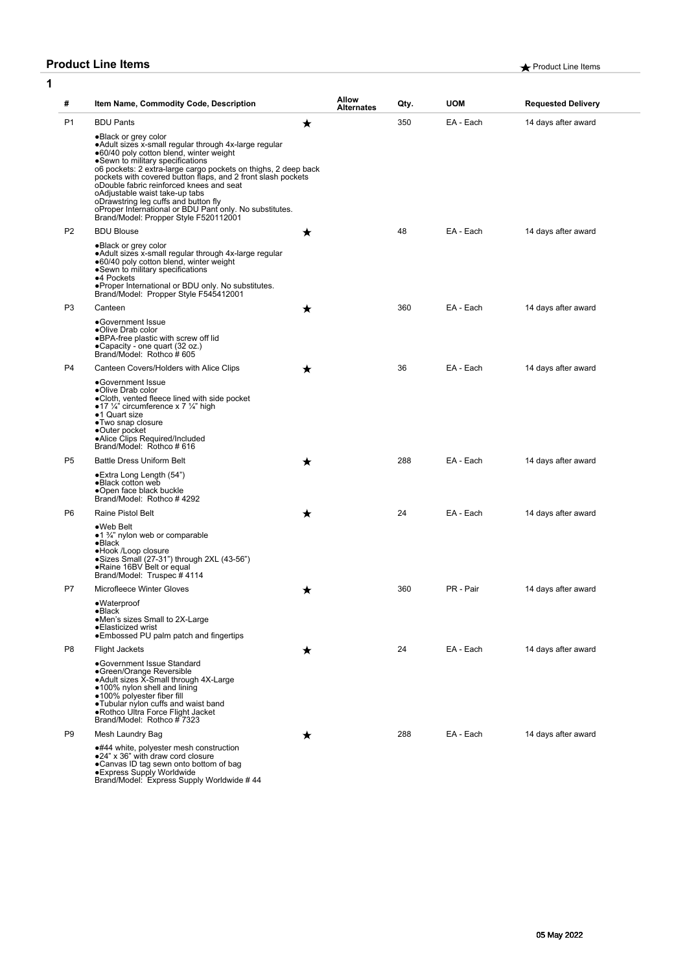### **Product Line Items Product Line Items A** Product Line Items

| 1         |                |                                                                                                                                                                                                                                                                                                                                                                                                                                           |   |                            |      |            |                           |
|-----------|----------------|-------------------------------------------------------------------------------------------------------------------------------------------------------------------------------------------------------------------------------------------------------------------------------------------------------------------------------------------------------------------------------------------------------------------------------------------|---|----------------------------|------|------------|---------------------------|
|           | #              | Item Name, Commodity Code, Description                                                                                                                                                                                                                                                                                                                                                                                                    |   | Allow<br><b>Alternates</b> | Qty. | <b>UOM</b> | <b>Requested Delivery</b> |
| <b>P1</b> |                | <b>BDU Pants</b><br>.Black or grey color<br>• Adult sizes x-small regular through 4x-large regular<br>●60/40 poly cotton blend, winter weight<br>•Sewn to military specifications<br>o6 pockets: 2 extra-large cargo pockets on thighs, 2 deep back<br>pockets with covered button flaps, and 2 front slash pockets<br>oDouble fabric reinforced knees and seat<br>oAdjustable waist take-up tabs<br>oDrawstring leg cuffs and button fly | ★ |                            | 350  | EA - Each  | 14 days after award       |
|           |                | oProper International or BDU Pant only. No substitutes.<br>Brand/Model: Propper Style F520112001                                                                                                                                                                                                                                                                                                                                          |   |                            |      |            |                           |
|           | P <sub>2</sub> | <b>BDU Blouse</b><br>•Black or grey color<br>• Adult sizes x-small regular through 4x-large regular<br>●60/40 poly cotton blend, winter weight<br>•Sewn to military specifications<br>•4 Pockets<br>• Proper International or BDU only. No substitutes.<br>Brand/Model: Propper Style F545412001                                                                                                                                          | ★ |                            | 48   | EA - Each  | 14 days after award       |
|           | P <sub>3</sub> | Canteen<br>•Government Issue<br>•Olive Drab color<br>•BPA-free plastic with screw off lid<br>•Capacity - one quart (32 oz.)<br>Brand/Model: Rothco #605                                                                                                                                                                                                                                                                                   | ★ |                            | 360  | EA - Each  | 14 days after award       |
|           | P4             | Canteen Covers/Holders with Alice Clips<br>•Government Issue<br>•Olive Drab color<br>•Cloth, vented fleece lined with side pocket<br>•17 1/4" circumference x 7 1/4" high<br>•1 Quart size<br>•Two snap closure<br>•Outer pocket<br>•Alice Clips Required/Included<br>Brand/Model: Rothco # 616                                                                                                                                           | ★ |                            | 36   | EA - Each  | 14 days after award       |
|           | P <sub>5</sub> | <b>Battle Dress Uniform Belt</b><br>● Extra Long Length (54")<br>•Black cotton web<br>•Open face black buckle<br>Brand/Model: Rothco #4292                                                                                                                                                                                                                                                                                                | ★ |                            | 288  | EA - Each  | 14 days after award       |
|           | P <sub>6</sub> | Raine Pistol Belt<br>$\bullet$ Web Belt<br>$\bullet$ 1 %" nylon web or comparable<br>$\bullet$ Black<br>•Hook /Loop closure<br>$\bullet$ Sizes Small (27-31") through 2XL (43-56")<br>.Raine 16BV Belt or equal<br>Brand/Model: Truspec #4114                                                                                                                                                                                             | ★ |                            | 24   | EA - Each  | 14 days after award       |
|           | P7             | Microfleece Winter Gloves<br>•Waterproof<br>$\bullet$ Black<br>•Men's sizes Small to 2X-Large<br>•Elasticized wrist<br>•Embossed PU palm patch and fingertips                                                                                                                                                                                                                                                                             | ★ |                            | 360  | PR - Pair  | 14 days after award       |
|           | P8             | <b>Flight Jackets</b><br>•Government Issue Standard<br>•Green/Orange Reversible<br>•Adult sizes X-Small through 4X-Large<br>•100% nylon shell and lining<br>·100% polyester fiber fill<br>. Tubular nylon cuffs and waist band<br>•Rothco Ultra Force Flight Jacket<br>Brand/Model: Rothco #7323                                                                                                                                          | ★ |                            | 24   | EA - Each  | 14 days after award       |
|           | P <sub>9</sub> | Mesh Laundry Bag<br>•#44 white, polyester mesh construction<br>.24" x 36" with draw cord closure<br>•Canvas ID tag sewn onto bottom of bag<br>● Express Supply Worldwide<br>Brand/Model: Express Supply Worldwide #44                                                                                                                                                                                                                     |   |                            | 288  | EA - Each  | 14 days after award       |